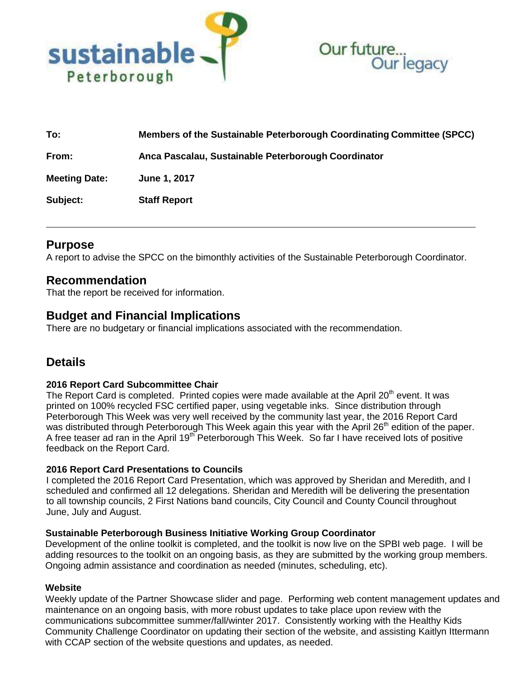



| To:                  | Members of the Sustainable Peterborough Coordinating Committee (SPCC) |
|----------------------|-----------------------------------------------------------------------|
| From:                | Anca Pascalau, Sustainable Peterborough Coordinator                   |
| <b>Meeting Date:</b> | June 1, 2017                                                          |
| Subject:             | <b>Staff Report</b>                                                   |

## **Purpose**

A report to advise the SPCC on the bimonthly activities of the Sustainable Peterborough Coordinator.

## **Recommendation**

That the report be received for information.

# **Budget and Financial Implications**

There are no budgetary or financial implications associated with the recommendation.

# **Details**

## **2016 Report Card Subcommittee Chair**

The Report Card is completed. Printed copies were made available at the April 20<sup>th</sup> event. It was printed on 100% recycled FSC certified paper, using vegetable inks. Since distribution through Peterborough This Week was very well received by the community last year, the 2016 Report Card was distributed through Peterborough This Week again this year with the April 26<sup>th</sup> edition of the paper. A free teaser ad ran in the April 19<sup>th</sup> Peterborough This Week. So far I have received lots of positive feedback on the Report Card.

## **2016 Report Card Presentations to Councils**

I completed the 2016 Report Card Presentation, which was approved by Sheridan and Meredith, and I scheduled and confirmed all 12 delegations. Sheridan and Meredith will be delivering the presentation to all township councils, 2 First Nations band councils, City Council and County Council throughout June, July and August.

#### **Sustainable Peterborough Business Initiative Working Group Coordinator**

Development of the online toolkit is completed, and the toolkit is now live on the SPBI web page. I will be adding resources to the toolkit on an ongoing basis, as they are submitted by the working group members. Ongoing admin assistance and coordination as needed (minutes, scheduling, etc).

#### **Website**

Weekly update of the Partner Showcase slider and page. Performing web content management updates and maintenance on an ongoing basis, with more robust updates to take place upon review with the communications subcommittee summer/fall/winter 2017. Consistently working with the Healthy Kids Community Challenge Coordinator on updating their section of the website, and assisting Kaitlyn Ittermann with CCAP section of the website questions and updates, as needed.